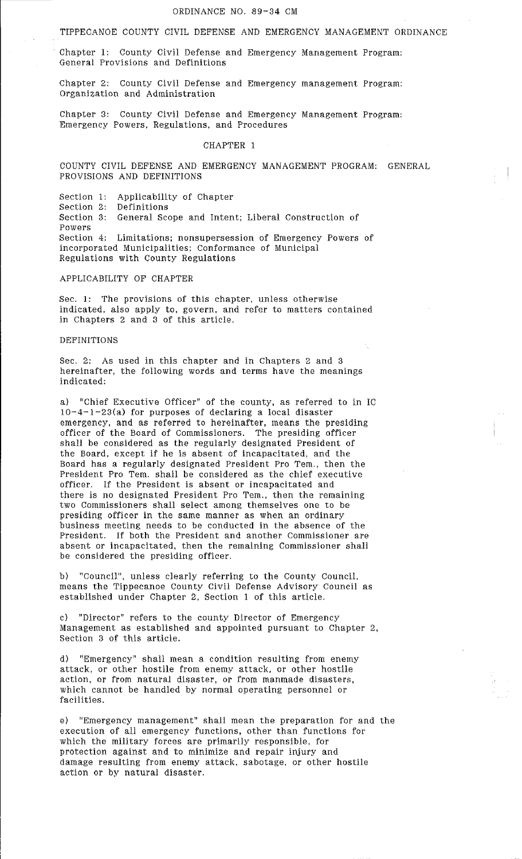TIPPECANOE COUNTY CIVIL DEFENSE AND EMERGENCY MANAGEMENT ORDINANCE

Chapter 1: County Civil Defense and Emergency Management Program: General Provisions and Definitions

Chapter 2: County Civil Defense and Emergency management Program: Organization and Administration

Chapter 3: County Civil Defense and Emergency Management Program: Emergency Powers, Regulations, and Procedures

### CHAPTER 1

COUNTY CIVIL DEFENSE AND EMERGENCY MANAGEMENT PROGRAM: GENERAL PROVISIONS AND DEFINITIONS

Section 1: Section 2: Section 3: Powers Applicability of Chapter Definitions General Scope and Intent; Liberal Construction of Section 4: Limitations; nonsupersession of Emergency Powers of incorporated Municipalities; Conformance of Municipal Regulations with County Regulations

APPLICABILITY OF CHAPTER

Sec. 1: The provisions of this chapter, unless otherwise indicated, also apply to, govern, and refer to matters contained in Chapters 2 and 3 of this article.

#### DEFINITIONS

Sec. 2: As used in this chapter and in Chapters 2 and 3 hereinafter, the following words and terms have the meanings indicated:

a) "Chief Executive Officer" of the county, as referred to in IC  $10-4-1-23(a)$  for purposes of declaring a local disaster emergency, and as referred to hereinafter, means the presiding officer of the Board of Commissioners. The presiding officer shall be considered as the regularly designated President of the Board, except if he is absent of incapacitated, and the Board has a regularly designated President Pro Tem., then the President Pro Tem. shall be considered as the chief executive officer. If the President is absent or incapacitated and there is no designated President Pro Tem., then the remaining two Commissioners shall select among themselves one to be presiding officer in the same manner as when an ordinary business meeting needs to be conducted in the absence of the President. If both the President and another Commissioner are absent or incapacitated, then the remaining Commissioner shall be considered the presiding officer.

b) "Council", unless clearly referring to the County Council, means the Tippecanoe County Civil Defense Advisory Council as established under Chapter 2, Section 1 of this article.

c) "Director" refers to the county Director of Emergency Management as established and appointed pursuant to Chapter 2, Section 3 of this article.

d) "Emergency" shall mean a condition resulting from enemy attack, or other hostile from enemy attack, or other hostile action, or from natural disaster, or from manmade disasters, which cannot be handled by normal operating personnel or facilities.

e) "Emergency management" shall mean the preparation for and the execution of all emergency functions, other than functions for which the military forces are primarily responsible, for protection against and to minimize and repair injury and damage resulting from enemy attack, sabotage, or other hostile action or by natural disaster.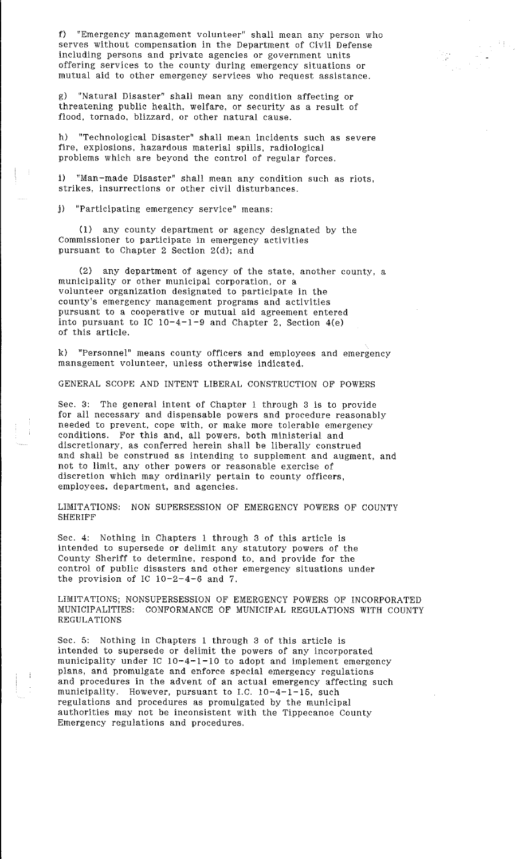f) "Emergency management volunteer" shall mean any person who serves without compensation in the Department of Civil Defense including persons and private agencies or government units offering services to the county during emergency situations or mutual aid to other emergency services who request assistance.

91.,

g) "Natural Disaster" shall mean any condition affecting or threatening public health, welfare, or security as a result of flood, tornado, blizzard, or other natural cause.

h) "Technological Disaster" shall mean incidents such as severe fire, explosions, hazardous material spills, radiological problems which are beyond the control of regular forces.

i) "Man-made Disaster" shall mean any condition such as riots, strikes, insurrections or other civil disturbances.

j) "Participating emergency service" means:

(1) any county department or agency designated by the Commissioner to participate in emergency activities pursuant to Chapter 2 Section 2(d); and

(2) any department of agency of the state, another county, a municipality or other municipal corporation, or a volunteer organization designated to participate in the county's emergency management programs and activities pursuant to a cooperative or mutual aid agreement entered into pursuant to  $IC$   $10-4-1-9$  and Chapter 2, Section  $4(e)$ of this article.

k) "Personnel" means county officers and employees and emergency management volunteer, unless otherwise indicated.

GENERAL SCOPE AND INTENT LIBERAL CONSTRUCTION OF POWERS

Sec. 3: The general intent of Chapter 1 through 3 is to provide for all necessary and dispensable powers and procedure reasonably needed to prevent, cope with, or make more tolerable emergency conditions. For this and, all powers, both ministerial and discretionary, as conferred herein shall be liberally construed and shall be construed as intending to supplement and augment, and not to limit, any other powers or reasonable exercise of discretion which may ordinarily pertain to county officers, employees. department, and agencies.

LIMITATIONS: NON SUPERSESSION OF EMERGENCY POWERS OF COUNTY **SHERIFF** 

Sec. 4: Nothing in Chapters 1 through 3 of this article is intended to supersede or delimit any statutory powers of the County Sheriff to determine, respond to, and provide for the control of public disasters and other emergency situations under the provision of IC  $10-2-4-6$  and 7.

LIMITATIONS; NONSUPERSESSION OF EMERGENCY POWERS OF INCORPORATED MUNICIPALITIES: CONFORMANCE OF MUNICIPAL REGULATIONS WITH COUNTY REGULATIONS

Sec. 5: Nothing in Chapters 1 through 3 of this article is intended to supersede or delimit the powers of any incorporated municipality under IC 10-4-1-10 to adopt and implement emergency plans, and promulgate and enforce special emergency regulations and procedures in the advent of an actual emergency affecting such municipality. However, pursuant to I.C. 10-4-1-15, such regulations and procedures as promulgated by the municipal authorities may not be inconsistent with the Tippecanoe County Emergency regulations and procedures.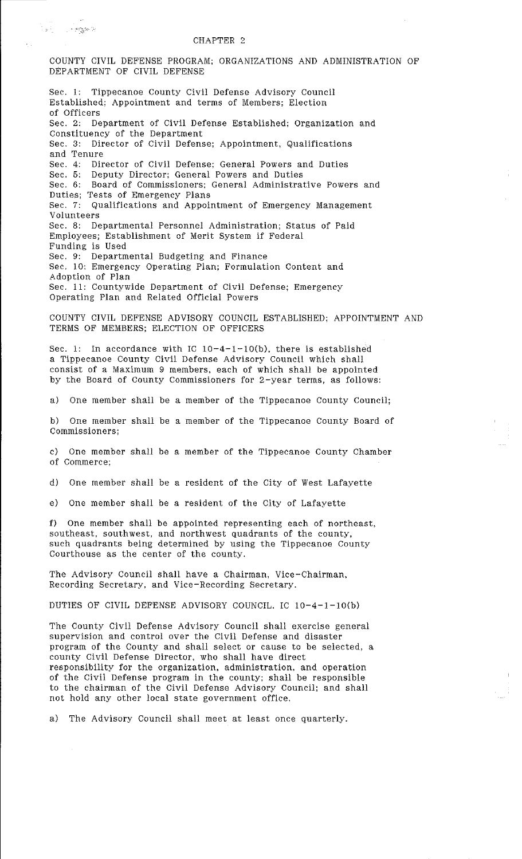#### CHAPTER 2

. :::::::  $\frac{1}{2}$ 

COUNTY CIVIL DEFENSE PROGRAM; ORGANIZATIONS AND ADMINISTRATION OF DEPARTMENT OF CIVIL DEFENSE Sec. 1: Tippecanoe County Civil Defense Advisory Council Established: Appointment and terms of Members; Election of Officers Sec. 2: Department of Civil Defense Established; Organization and Constituency of the Department Sec. 3: Director of Civil Defense; Appointment, Qualifications and Tenure Sec. 4: Director of Civil Defense; General Powers and Duties Sec. 5: Deputy Director; General Powers and Duties Sec. 6: Board of Commissioners; General Administrative Powers and Duties; Tests of Emergency Plans Sec. 7: Qualifications and Appointment of Emergency Management Volunteers Sec. 8: Departmental Personnel Administration; Status of Paid Employees; Establishment of Merit System if Federal Funding is Used Sec. 9: Departmental Budgeting and Finance Sec. 10: Emergency Operating Plan; Formulation Content and Adoption of Plan Sec. 11: Countywide Department of Civil Defense; Emergency Operating Plan and Related Official Powers COUNTY CIVIL DEFENSE ADVISORY COUNCIL ESTABLISHED; APPOINTMENT AND TERMS OF MEMBERS; ELECTION OF OFFICERS Sec. 1: In accordance with IC  $10-4-1-10(b)$ , there is established a Tippecanoe County Civil Defense Advisory Council which shall consist of a Maximum 9 members, each of which shall be appointed by the Board of County Commissioners for 2-year terms, as follows: a) One member shall be a member of the Tippecanoe County Council; b) One member shall be a member of the Tippecanoe County Board of **Commissioners;**  c) One member shall be a member of the Tippecanoe County Chamber of Commerce; d) One member shall be a resident of the City of West Lafayette e) One member shall be a resident of the City of Lafayette f) One member shall be appointed representing each of northeast, southeast, southwest, and northwest quadrants of the county, such quadrants being determined by using the Tippecanoe County Courthouse as the center of the county. The Advisory Council shall have a Chairman, Vice-Chairman, Recording Secretary, and Vice-Recording Secretary. DUTIES OF CIVIL DEFENSE ADVISORY COUNCIL. IC 10-4-1-lO(b) The County Civil Defense Advisory Council shall exercise general supervision and control over the Civil Defense and disaster program of the County and shall select or cause to be selected, a county Civil Defense Director, who shall have direct responsibility for the organization, administration, and operation of the Civil Defense program in the county; shall be responsible to the chairman of the Civil Defense Advisory Council; and shall not hold any other local state government office. a) The Advisory Council shall meet at least once quarterly.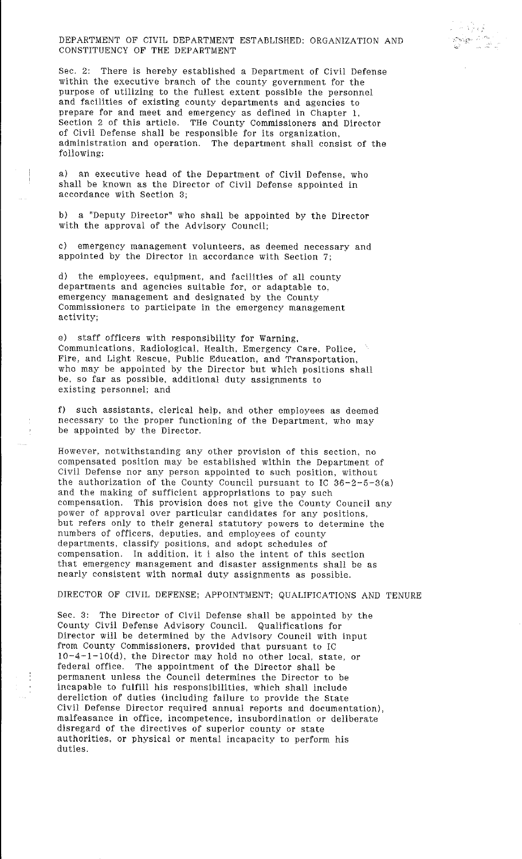DEPARTMENT OF CIVIL DEPARTMENT ESTABLISHED: ORGANIZATION AND CONSTITUENCY OF THE DEPARTMENT

 $r^+$ ~

Sec. 2: There is hereby established a Department of Civil Defense within the executive branch of the county government for the purpose of utilizing to the fullest extent possible the personnel and facilities of existing county departments and agencies to prepare for and meet and emergency as defined in Chapter 1. Section 2 of this article. THe County Commissioners and Director of Civil Defense shall be responsible for its organization, administration and operation. The department shall consist of the following:

a) an executive head of the Department of Civil Defense, who shall be known as the Director of Civil Defense appointed in accordance with Section 3;

b) a "Deputy Director" who shall be appointed by the Director with the approval of the Advisory Council;

c) emergency management volunteers, as deemed necessary and appointed by the Director in accordance with Section 7;

d) the employees, equipment, and facilities of all county departments and agencies suitable for, or adaptable to, emergency management and designated by the County Commissioners to participate in the emergency management activity;

e) staff officers with responsibility for Warning, Communications, Radiological, Health, Emergency Care, Police, Fire, and Light Rescue, Public Education, and Transportation, who may be appointed by the Director but which positions shall be, so far as possible, additional duty assignments to existing personnel; and

f) such assistants, clerical help, and other employees as deemed necessary to the proper functioning of the Department, who may be appointed by the Director.

However, notwithstanding any other provision of this section, no compensated position may be established within the Department of Civil Defense nor any person appointed to such position, without the authorization of the County Council pursuant to IC  $36-2-5-3(a)$ and the making of sufficient appropriations to pay such compensation. This provision does not give the County Council any power of approval over particular candidates for any positions, but refers only to their general statutory powers to determine the numbers of officers, deputies, and employees of county departments, classify positions, and adopt schedules of compensation. In addition. it i also the intent of this section that emergency management and disaster assignments shall be as nearly consistent with normal duty assignments as possible.

DIRECTOR OF CIVIL DEFENSE; APPOINTMENT; QUALIFICATIONS AND TENURE

Sec. 3: The Director of Civil Defense shall be appointed by the County Civil Defense Advisory Council. Qualifications for Director will be determined by the Advisory Council with input from County Commissioners, provided that pursuant to IC 10-4-1-lO(d), the Director may hold no other local, state, or federal office. The appointment of the Director shall be permanent unless the Council determines the Director to be incapable to fulfill his responsibilities, which shall include dereliction of duties (including failure to provide the State Civil Defense Director required annual reports and documentation), malfeasance in office, incompetence, insubordination or deliberate disregard of the directives of superior county or state authorities, or physical or mental incapacity to perform his duties.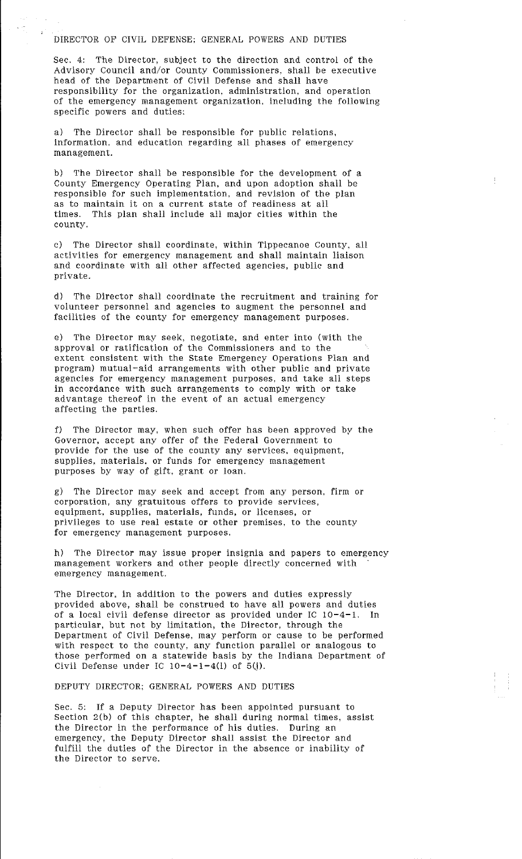### DIRECTOR OF CIVIL DEFENSE; GENERAL POWERS AND DUTIES

Sec. 4: The Director, subject to the direction and control of the Advisory Council and/or County Commissioners, shall be executive head of the Department of Civil Defense and shall have responsibility for the organization, administration, and operation of the emergency management organization, including the following specific powers and duties:

a) The Director shall be responsible for public relations, information. and education regarding all phases of emergency management.

b) The Director shall be responsible for the development of a County Emergency Operating Plan, and upon adoption shall be responsible for such implementation, and revision of the plan as to maintain it on a current state of readiness at all times. This plan shall include all major cities within the county.

c) The Director shall coordinate, within Tippecanoe County, all activities for emergency management and shall maintain liaison and coordinate with all other affected agencies, public and private.

d) The Director shall coordinate the recruitment and training for volunteer personnel and agencies to augment the personnel and facilities of the county for emergency management purposes.

e) The Director may seek, negotiate, and enter into (with the approval or ratification of the Commissioners and to the extent consistent with the State Emergency Operations Plan and program) mutual-aid arrangements with other public and private agencies for emergency management purposes, and take all steps in accordance with such arrangements to comply with or take advantage thereof in the event of an actual emergency affecting the parties.

f) The Director may, when such offer has been approved by the Governor, accept any offer of the Federal Government to provide for the use of the county any services, equipment, supplies, materials, or funds for emergency management purposes by way of gift, grant or loan.

g) The Director may seek and accept from any person, firm or corporation, any gratuitous offers to provide services, equipment, supplies, materials, funds, or licenses, or privileges to use real estate or other premises, to the county for emergency management purposes.

h) The Director may issue proper insignia and papers to emergency management workers and other people directly concerned with emergency management.

The Director, in addition to the powers and duties expressly provided above, shall be construed to have all powers and duties of a local civil defense director as provided under IC 10-4-1. In particular, but not by limitation, the Director, through the Department of Civil Defense, may perform or cause to be performed with respect to the county, any function parallel or analogous to those performed on a statewide basis by the Indiana Department of Civil Defense under IC  $10-4-1-4(1)$  of  $5(j)$ .

DEPUTY DIRECTOR; GENERAL POWERS AND DUTIES

Sec. 5: If a Deputy Director has been appointed pursuant to Section 2(b) of this chapter, he shall during normal times, assist the Director in the performance of his duties. During an emergency, the Deputy Director shall assist the Director and fulfill the duties of the Director in the absence or inability of the Director to serve.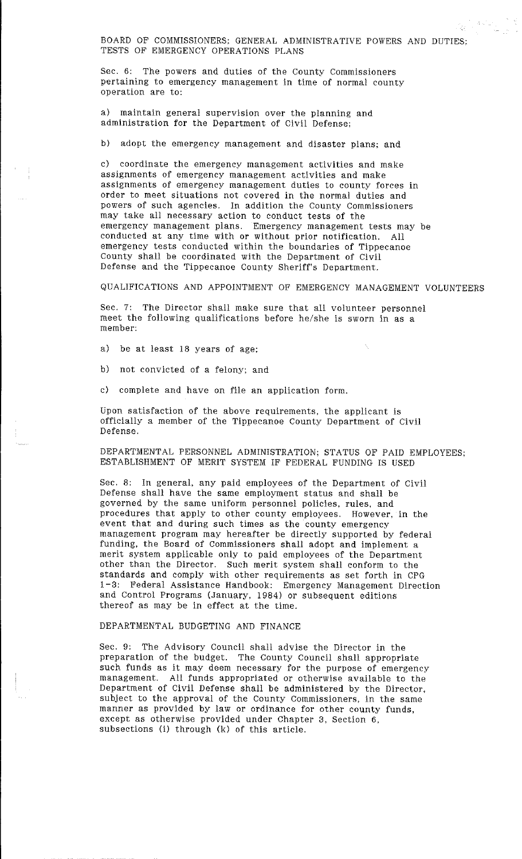BOARD OF COMMISSIONERS; GENERAL ADMINISTRATIVE POWERS AND DUTIES: TESTS OF EMERGENCY OPERATIONS PLANS

n astur<br>S

Q.

Sec. 6: The powers and duties of the County Commissioners pertaining to emergency management in time of normal county operation are to:

a) maintain general supervision over the planning and administration for the Department of Civil Defense;

b) adopt the emergency management and disaster plans; and

c) coordinate the emergency management activities and make assignments of emergency management activities and make assignments of emergency management duties to county forces in order to meet situations not covered in the normal duties and powers of such agencies. In addition the County Commissioners may take all necessary action to conduct tests of the emergency management plans. Emergency management tests may be conducted at any time with or without prior notification. All emergency tests conducted within the boundaries of Tippecanoe County shall be coordinated with the Department of Civil Defense and the Tippecanoe County Sheriff's Department.

QUALIFICATIONS AND APPOINTMENT OF EMERGENCY MANAGEMENT VOLUNTEERS

Sec. 7: The Director shall make sure that all volunteer personnel meet the following qualifications before he/she is sworn in as a member:

a) be at least 18 years of age;

b) not convicted of a felony; and

c) complete and have on file an application form.

Upon satisfaction of the above requirements, the applicant is officially a member of the Tippecanoe County Department of Civil Defense.

DEPARTMENTAL PERSONNEL ADMINISTRATION; STATUS OF PAID EMPLOYEES: ESTABLISHMENT OF MERIT SYSTEM IF FEDERAL FUNDING IS USED

Sec. 8: In general, any paid employees of the Department of Civil Defense shall have the same employment status and shall be governed by the same uniform personnel policies, rules, and procedures that apply to other county employees. However, in the event that and during such times as the county emergency management program may hereafter be directly supported by federal funding, the Board of Commissioners shall adopt and implement a merit system applicable only to paid employees of the Department other than the Director. Such merit system shall conform to the standards and comply with other requirements as set forth in CPG 1-3: Federal Assistance Handbook: Emergency Management Direction and Control Programs (January, 1984) or subsequent editions thereof as may be in effect at the time.

## DEPARTMENTAL BUDGETING AND FINANCE

Sec. 9: The Advisory Council shall advise the Director in the preparation of the budget. The County Council shall appropriate such funds as it may deem necessary for the purpose of emergency management. All funds appropriated or otherwise available to the Department of Civil Defense shall be administered by the Director, subject to the approval of the County Commissioners, in the same manner as provided by law or ordinance for other county funds, except as otherwise provided under Chapter 3, Section 6, subsections (i) through (k) of this article.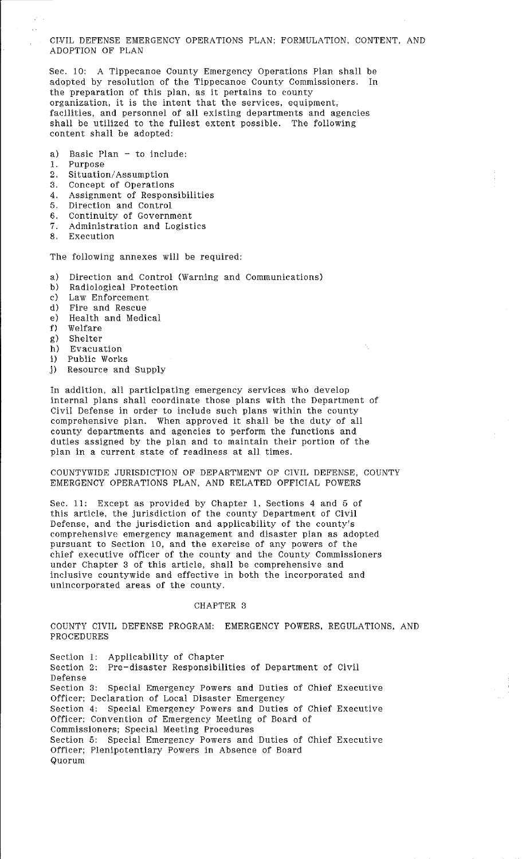CIVIL DEFENSE EMERGENCY OPERATIONS PLAN: FORMULATION, CONTENT, AND ADOPTION OF PLAN

Sec. 10: A Tippecanoe County Emergency Operations Plan shall be adopted by resolution of the Tippecanoe County Commissioners. In the preparation of this plan, as it pertains to county organization, it is the intent that the services, equipment, facilities, and personnel of all existing departments and agencies shall be utilized to the fullest extent possible. The following content shall be adopted:

- a) Basic Plan  $-$  to include:
- 1. Purpose
- 2. Situation/ Assumption
- 3. Concept of Operations
- 4. Assignment of Responsibilities
- 5. Direction and Control
- 6. Continuity of Government
- 7. Administration and Logistics
- 8. Execution

The following annexes will be required:

- a) Direction and Control (Warning and Communications)
- b) Radiological Protection
- c) Law Enforcement
- d) Fire and Rescue
- e) Health and Medical
- f) Welfare
- g) Shelter
- h) Evacuation
- i) Public Works
- j) Resource and Supply

In addition, all participating emergency services who develop internal plans shall coordinate those plans with the Department of Civil Defense in order to include such plans within the county comprehensive plan. When approved it shall be the duty of all county departments and agencies to perform the functions and duties assigned by the plan and to maintain their portion of the plan in a current state of readiness at all times.

COUNTYWIDE JURISDICTION OF DEPARTMENT OF CIVIL DEFENSE, COUNTY EMERGENCY OPERATIONS PLAN, AND RELATED OFFICIAL POWERS

Sec. 11: Except as provided by Chapter 1, Sections 4 and 5 of this article, the jurisdiction of the county Department of Civil Defense, and the jurisdiction and applicability of the county's comprehensive emergency management and disaster plan as adopted pursuant to Section 10, and the exercise of any powers of the chief executive officer of the county and the County Commissioners under Chapter 3 of this article, shall be comprehensive and inclusive countywide and effective in both the incorporated and unincorporated areas of the county.

#### CHAPTER 3

COUNTY CIVIL DEFENSE PROGRAM: EMERGENCY POWERS, REGULATIONS, AND PROCEDURES

Section 1: Applicability of Chapter Section 2: Pre-disaster Responsibilities of Department of Civil Defense Section 3: Special Emergency Powers and Duties of Chief Executive Officer; Declaration of Local Disaster Emergency Section 4: Special Emergency Powers and Duties of Chief Executive Officer; Convention of Emergency Meeting of Board of Commissioners; Special Meeting Procedures Section 5: Special Emergency Powers and Duties of Chief Executive Officer; Plenipotentiary Powers in Absence of Board Quorum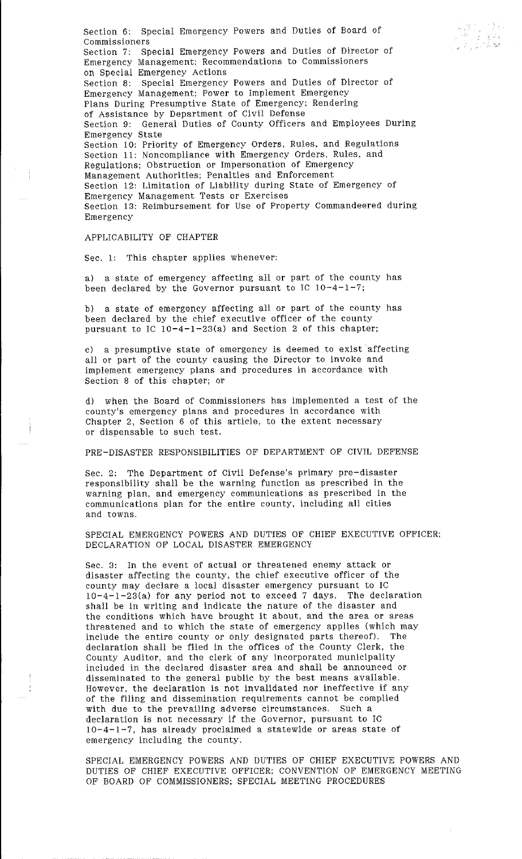Section 6: Special Emergency Powers and Duties of Board of Commissioners Section 7: Special Emergency Powers and Duties of Director of Emergency Management: Recommendations to Commissioners on Special Emergency Actions Section 8: Special Emergency Powers and Duties of Director of Emergency Management: Power to Implement Emergency Plans During Presumptive State of Emergency: Rendering of Assistance by Department of Civil Defense Section 9: General Duties of County Officers and Employees During Emergency State Section 10: Priority of Emergency Orders, Rules, and Regulations Section 11: Noncompliance with Emergency Orders, Rules, and Regulations; Obstruction or Impersonation of Emergency Management Authorities; Penalties and Enforcement Section 12: Limitation of Liability during State of Emergency of Emergency Management Tests or Exercises Section 13: Reimbursement for Use of Property Commandeered during Emergency

# APPLICABILITY OF CHAPTER

Sec. 1: This chapter applies whenever:

a) a state of emergency affecting all or part of the county has been declared by the Governor pursuant to IC 10-4-1-7;

bl a state of emergency affecting all or part of the county has been declared by the chief executive officer of the county pursuant to IC  $10-4-1-23(a)$  and Section 2 of this chapter;

c) a presumptive state of emergency is deemed to exist affecting all or part of the county causing the Director to invoke and implement emergency plans and procedures in accordance with Section 8 of this chapter; or

d) when the Board of Commissioners has implemented a test of the county's emergency plans and procedures in accordance with Chapter 2, Section 6 of this article, to the extent necessary or dispensable to such test.

PRE-DISASTER RESPONSIBILITIES OF DEPARTMENT OF CIVIL DEFENSE

Sec. 2: The Department of Civil Defense's primary pre-disaster responsibility shall be the warning function as prescribed in the warning plan, and emergency communications as prescribed in the communications plan for the entire county, including all cities and towns.

SPECIAL EMERGENCY POWERS AND DUTIES OF CHIEF EXECUTIVE OFFICER: DECLARATION OF LOCAL DISASTER EMERGENCY

Sec. 3: In the event of actual or threatened enemy attack or disaster affecting the county, the chief executive officer of the county may declare a local disaster emergency pursuant to IC 10-4-l-23(a) for any period not to exceed 7 days. The declaration shall be in writing and indicate the nature of the disaster and the conditions which have brought it about, and the area or areas threatened and to which the state of emergency applies (which may include the entire county or only designated parts thereof). The include the entire county or only designated parts thereof). The declaration shall be filed in the offices of the County Clerk, the County Auditor, and the clerk of any incorporated municipality included in the declared disaster area and shall be announced or disseminated to the general public by the best means available. However, the declaration is not invalidated nor ineffective if any of the filing and dissemination requirements cannot be complied with due to the prevailing adverse circumstances. Such a declaration is not necessary if the Governor, pursuant to IC 10-4-1-7, has already proclaimed a statewide or areas state of emergency including the county.

SPECIAL EMERGENCY POWERS AND DUTIES OF CHIEF EXECUTIVE POWERS AND DUTIES OF CHIEF EXECUTIVE OFFICER; CONVENTION OF EMERGENCY MEETING OF BOARD OF COMMISSIONERS; SPECIAL MEETING PROCEDURES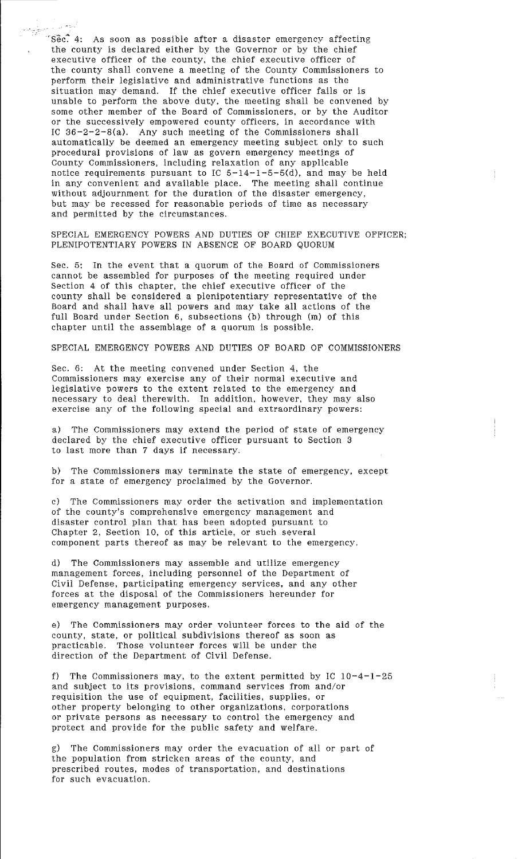$\sqrt{Sec}$ . 4: As soon as possible after a disaster emergency affecting the county is declared either by the Governor or by the chief executive officer of the county, the chief executive officer of the county shall convene a meeting of the County Commissioners to perform their legislative and administrative functions as the situation may demand. If the chief executive officer fails or is unable to perform the above duty, the meeting shall be convened by some other member of the Board of Commissioners, or by the Auditor or the successively empowered county officers, in accordance with IC 36-2-2-8(a). Any such meeting of the Commissioners shall automatically be deemed an emergency meeting subject only to such procedural provisions of law as govern emergency meetings of County Commissioners, including relaxation of any applicable notice requirements pursuant to IC  $5-14-1-5-5(d)$ , and may be held in any convenient and available place. The meeting shall continue without adjournment for the duration of the disaster emergency, but may be recessed for reasonable periods of time as necessary and permitted by the circumstances.

SPECIAL EMERGENCY POWERS AND DUTIES OF CHIEF EXECUTIVE OFFICER; PLENIPOTENTIARY POWERS IN ABSENCE OF BOARD QUORUM

Sec. 5: In the event that a quorum of the Board of Commissioners cannot be assembled for purposes of the meeting required under Section 4 of this chapter, the chief executive officer of the county shall be considered a plenipotentiary representative of the Board and shall have all powers and may take all actions of the full Board under Section 6, subsections (b) through (m) of this chapter until the assemblage of a quorum is possible.

SPECIAL EMERGENCY POWERS AND DUTIES OF BOARD OF COMMISSIONERS

Sec. 6: At the meeting convened under Section 4, the Commissioners may exercise any of their normal executive and legislative powers to the extent related to the emergency and necessary to deal therewith. In addition, however, they may also exercise any of the following special and extraordinary powers:

a) The Commissioners may extend the period of state of emergency declared by the chief executive officer pursuant to Section 3 to last more than 7 days if necessary.

b) The Commissioners may terminate the state of emergency, except for a state of emergency proclaimed by the Governor.

c) The Commissioners may order the activation and implementation of the county's comprehensive emergency management and disaster control plan that has been adopted pursuant to Chapter 2, Section 10, of this article, or such several component parts thereof as may be relevant to the emergency.

d) The Commissioners may assemble and utilize emergency management forces, including personnel of the Department of Civil Defense, participating emergency services, and any other forces at the disposal of the Commissioners hereunder for emergency management purposes.

e) The Commissioners may order volunteer forces to the aid of the county, state, or political subdivisions thereof as soon as practicable. Those volunteer forces will be under the direction of the Department of Civil Defense.

The Commissioners may, to the extent permitted by IC  $10-4-1-25$ and subject to its provisions, command services from and/or requisition the use of equipment, facilities, supplies, or other property belonging to other organizations, corporations or private persons as necessary to control the emergency and protect and provide for the public safety and welfare.

g) The Commissioners may order the evacuation of all or part of the population from stricken areas of the county, and prescribed routes, modes of transportation, and destinations for such evacuation.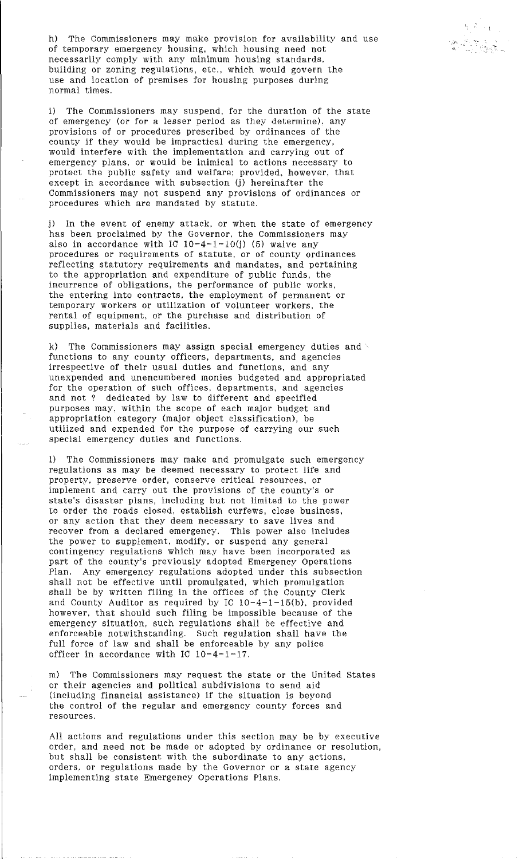h) The Commissioners may make provision for availability and use of temporary emergency housing, which housing need not necessarily comply with any minimum housing standards, building or zoning regulations, etc., which would govern the use and location of premises for housing purposes during normal times.

 $\cdot$   $\cdot$ 

i) The Commissioners may suspend, for the duration of the state of emergency (or for a lesser period as they determine), any provisions of or procedures prescribed by ordinances of the county if they would be impractical during the emergency, would interfere with the implementation and carrying out of emergency plans, or would be inimical to actions necessary to protect the public safety and welfare; provided, however, that except in accordance with subsection (j) hereinafter the Commissioners may not suspend any provisions of ordinances or procedures which are mandated by statute.

j) In the event of enemy attack. or when the state of emergency has been proclaimed by the Governor, the Commissioners may also in accordance with IC  $10-4-1-10(i)$  (5) waive any procedures or requirements of statute, or of county ordinances reflecting statutory requirements and mandates, and pertaining to the appropriation and expenditure of public funds, the incurrence of obligations, the performance of public works, the entering into contracts, the employment of permanent or temporary workers or utilization of volunteer workers, the rental of equipment, or the purchase and distribution of supplies, materials and facilities.

k) The Commissioners may assign special emergency duties and functions to any county officers, departments, and agencies irrespective of their usual duties and functions, and any unexpended and unencumbered monies budgeted and appropriated for the operation of such offices, departments, and agencies and not ? dedicated by law to different and specified purposes may, within the scope of each major budget and appropriation category (major object classification), be utilized and expended for the purpose of carrying our such special emergency duties and functions.

1) The Commissioners may make and promulgate such emergency regulations as may be deemed necessary to protect life and property, preserve order, conserve critical resources, or implement and carry out the provisions of the county's or state's disaster plans, including but not limited to the power to order the roads closed, establish curfews, close business, or any action that they deem necessary to save Jives and recover from a declared emergency. This power also includes the power to supplement, modify, or suspend any general contingency regulations which may have been incorporated as part of the county's previously adopted Emergency Operations<br>Plan. Any emergency regulations adopted under this subsection Any emergency regulations adopted under this subsection shall not be effective until promulgated, which promulgation shall be by written filing in the offices of the County Clerk and County Auditor as required by IC  $10-4-1-15(b)$ , provided however, that should such filing be impossible because of the emergency situation, such regulations shall be effective and enforceable notwithstanding. Such regulation shall have the full force of law and shall be enforceable by any police officer in accordance with IC 10-4-1-17.

m) The Commissioners may request the state or the United States or their agencies and political subdivisions to send aid (including financial assistance) if the situation is beyond the control of the regular and emergency county forces and resources.

All actions and regulations under this section may be by executive order, and need not be made or adopted by ordinance or resolution, but shall be consistent with the subordinate to any actions, orders, or regulations made by the Governor or a state agency implementing state Emergency Operations Plans.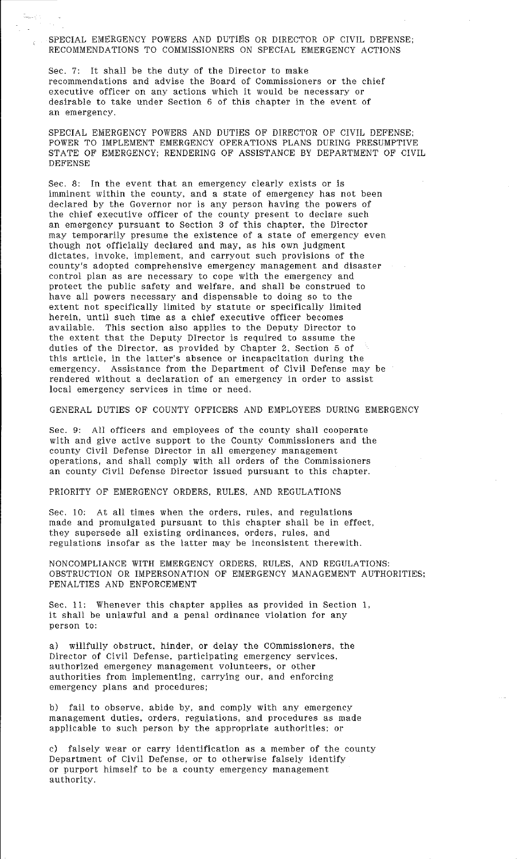SPECIAL EMERGENCY POWERS AND DUTIES OR DIRECTOR OF CIVIL DEFENSE; RECOMMENDATIONS TO COMMISSIONERS ON SPECIAL EMERGENCY ACTIONS

Sec. 7: It shall be the duty of the Director to make recommendations and advise the Board of Commissioners or the chief executive officer on any actions which it would be necessary or desirable to take under Section 6 of this chapter in the event of an emergency.

SPECIAL EMERGENCY POWERS AND DUTIES OF DIRECTOR OF CIVIL DEFENSE; POWER TO IMPLEMENT EMERGENCY OPERATIONS PLANS DURING PRESUMPTIVE STATE OF EMERGENCY; RENDERING OF ASSISTANCE BY DEPARTMENT OF CIVIL DEFENSE

Sec. 8: In the event that an emergency clearly exists or is imminent within the county, and a state of emergency has not been declared by the Governor nor is any person having the powers of the chief executive officer of the county present to declare such an emergency pursuant to Section 3 of this chapter, the Director may temporarily presume the existence of a state of emergency even though not officially declared and may, as his own judgment dictates, invoke, implement, and carryout such provisions of the county's adopted comprehensive emergency management and disaster control plan as are necessary to cope with the emergency and protect the public safety and welfare, and shall be construed to have all powers necessary and dispensable to doing so to the extent not specifically limited by statute or specifically limited herein, until such time as a chief executive officer becomes available. This section also applies to the Deputy Director to the extent that the Deputy Director is required to assume the duties of the Director. as provided by Chapter 2. Section 5 of this article, in the latter's absence or incapacitation during the emergency. Assistance from the Department of Civil Defense may be rendered without a declaration of an emergency in order to assist local emergency services in time or need.

GENERAL DUTIES OF COUNTY OFFICERS AND EMPLOYEES DURING EMERGENCY

Sec. 9: All officers and employees of the county shall cooperate with and give active support to the County Commissioners and the county Civil Defense Director in all emergency management operations, and shall comply with all orders of the Commissioners an county Civil Defense Director issued pursuant to this chapter.

PRIORITY OF EMERGENCY ORDERS, RULES, AND REGULATIONS

Sec. 10: At all times when the orders, rules, and regulations made and promulgated pursuant to this chapter shall be in effect, they supersede all existing ordinances, orders, rules, and regulations insofar as the latter may be inconsistent therewith.

NONCOMPLIANCE WITH EMERGENCY ORDERS, RULES, AND REGULATIONS: OBSTRUCTION OR IMPERSONATION OF EMERGENCY MANAGEMENT AUTHORITIES: PENALTIES AND ENFORCEMENT

Sec. 11: Whenever this chapter applies as provided in Section l, it shali be unlawful and a penal ordinance violation for any person to:

a) willfully obstruct, hinder, or delay the commissioners, the Director of Civil Defense, participating emergency services, authorized emergency management volunteers, or other authorities from implementing, carrying our, and enforcing emergency plans and procedures;

b) fail to observe, abide by, and comply with any emergency management duties, orders, regulations, and procedures as made applicable to such person by the appropriate authorities; or

c) falsely wear or carry identification as a member of the county Department of Civil Defense, or to otherwise falsely identify or purport himself to be a county emergency management authority.